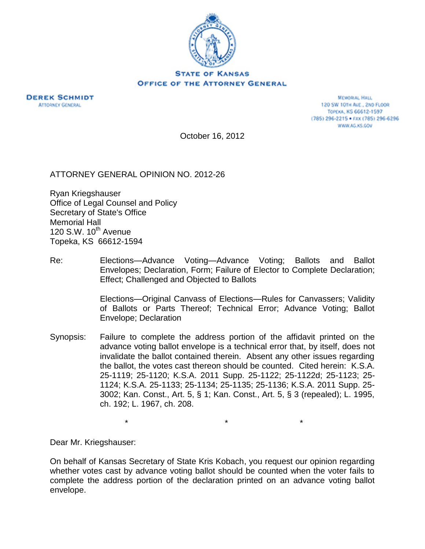



MEMORAL HALL 120 SW 10TH AVE., 2ND FLOOR TOPEKA, KS 66612-1597 (785) 296-2215 · FAX (785) 296-6296 WWW.AG.KS.GOV

October 16, 2012

ATTORNEY GENERAL OPINION NO. 2012-26

Ryan Kriegshauser Office of Legal Counsel and Policy Secretary of State's Office Memorial Hall 120 S.W.  $10^{th}$  Avenue Topeka, KS 66612-1594

Re: Elections—Advance Voting—Advance Voting; Ballots and Ballot Envelopes; Declaration, Form; Failure of Elector to Complete Declaration; Effect; Challenged and Objected to Ballots

> Elections—Original Canvass of Elections—Rules for Canvassers; Validity of Ballots or Parts Thereof; Technical Error; Advance Voting; Ballot Envelope; Declaration

Synopsis: Failure to complete the address portion of the affidavit printed on the advance voting ballot envelope is a technical error that, by itself, does not invalidate the ballot contained therein. Absent any other issues regarding the ballot, the votes cast thereon should be counted. Cited herein: K.S.A. 25-1119; 25-1120; K.S.A. 2011 Supp. 25-1122; 25-1122d; 25-1123; 25- 1124; K.S.A. 25-1133; 25-1134; 25-1135; 25-1136; K.S.A. 2011 Supp. 25- 3002; Kan. Const., Art. 5, § 1; Kan. Const., Art. 5, § 3 (repealed); L. 1995, ch. 192; L. 1967, ch. 208.

\* \* \*

Dear Mr. Kriegshauser:

On behalf of Kansas Secretary of State Kris Kobach, you request our opinion regarding whether votes cast by advance voting ballot should be counted when the voter fails to complete the address portion of the declaration printed on an advance voting ballot envelope.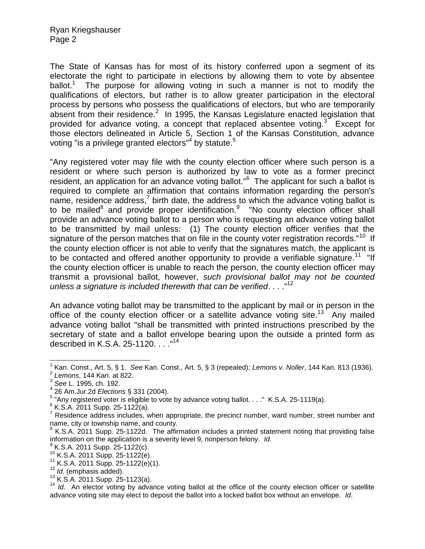The State of Kansas has for most of its history conferred upon a segment of its electorate the right to participate in elections by allowing them to vote by absentee ballot.<sup>1</sup> The purpose for allowing voting in such a manner is not to modify the qualifications of electors, but rather is to allow greater participation in the electoral process by persons who possess the qualifications of electors, but who are temporarily absent from their residence. $2$  In 1995, the Kansas Legislature enacted legislation that provided for advance voting, a concept that replaced absentee voting.<sup>3</sup> Except for those electors delineated in Article 5, Section 1 of the Kansas Constitution, advance voting "is a privilege granted electors" $4$  by statute.<sup>5</sup>

"Any registered voter may file with the county election officer where such person is a resident or where such person is authorized by law to vote as a former precinct resident, an application for an advance voting ballot."<sup>6</sup> The applicant for such a ballot is required to complete an affirmation that contains information regarding the person's name, residence address, $^7$  birth date, the address to which the advance voting ballot is to be mailed<sup>8</sup> and provide proper identification.<sup>9</sup> "No county election officer shall provide an advance voting ballot to a person who is requesting an advance voting ballot to be transmitted by mail unless: (1) The county election officer verifies that the signature of the person matches that on file in the county voter registration records."<sup>10</sup> If the county election officer is not able to verify that the signatures match, the applicant is to be contacted and offered another opportunity to provide a verifiable signature.<sup>11</sup> "If the county election officer is unable to reach the person, the county election officer may transmit a provisional ballot, however, *such provisional ballot may not be counted unless a signature is included therewith that can be verified*. . . ."<sup>12</sup>

An advance voting ballot may be transmitted to the applicant by mail or in person in the office of the county election officer or a satellite advance voting site.<sup>13</sup> Any mailed advance voting ballot "shall be transmitted with printed instructions prescribed by the secretary of state and a ballot envelope bearing upon the outside a printed form as described in K.S.A. 25-1120. . . . "<sup>14</sup>

 $\overline{\phantom{a}}$ 

<sup>1</sup> Kan. Const., Art. 5, § 1. *See* Kan. Const., Art. 5, § 3 (repealed); *Lemons v. Noller*, 144 Kan. 813 (1936).

<sup>2</sup> *Lemons*, 144 Kan. at 822.

<sup>3</sup> *See* L. 1995, ch. 192.

<sup>4</sup> 26 Am.Jur.2d *Elections* § 331 (2004).

 $5$  "Any registered voter is eligible to vote by advance voting ballot. . . ." K.S.A. 25-1119(a).

 $6$  K.S.A. 2011 Supp. 25-1122(a).

 $<sup>7</sup>$  Residence address includes, when appropriate, the precinct number, ward number, street number and</sup> name, city or township name, and county.

 $8$  K.S.A. 2011 Supp. 25-1122d. The affirmation includes a printed statement noting that providing false information on the application is a severity level 9, nonperson felony. Id.<br><sup>9</sup> K S A, 2011 Supp, 25, 1122(o)

K.S.A. 2011 Supp. 25-1122(c).

 $10$  K.S.A. 2011 Supp. 25-1122(e).

 $11$  K.S.A. 2011 Supp. 25-1122(e)(1).

<sup>12</sup> *Id*. (emphasis added).

<sup>13</sup> K.S.A. 2011 Supp. 25-1123(a).

<sup>&</sup>lt;sup>14</sup> *Id*. An elector voting by advance voting ballot at the office of the county election officer or satellite advance voting site may elect to deposit the ballot into a locked ballot box without an envelope. *Id*.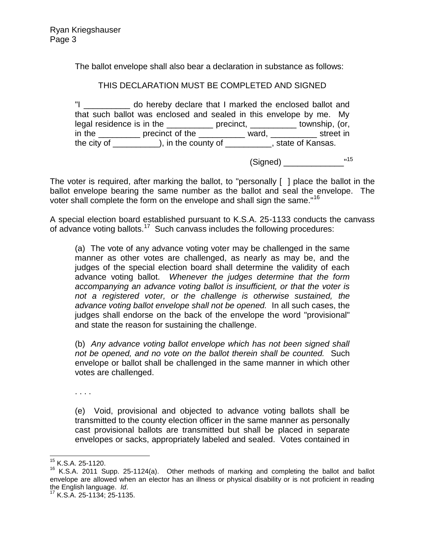The ballot envelope shall also bear a declaration in substance as follows:

## THIS DECLARATION MUST BE COMPLETED AND SIGNED

"I \_\_\_\_\_\_\_\_\_\_ do hereby declare that I marked the enclosed ballot and that such ballot was enclosed and sealed in this envelope by me. My legal residence is in the \_\_\_\_\_\_\_\_\_\_\_\_\_ precinct, \_\_\_\_\_\_\_\_\_\_\_ township, (or, in the \_\_\_\_\_\_\_\_ precinct of the \_\_\_\_\_\_\_\_\_ ward, \_\_\_\_\_\_\_\_\_ street in the city of \_\_\_\_\_\_\_\_\_), in the county of \_\_\_\_\_\_\_\_\_, state of Kansas.

(Signed) \_\_\_\_\_\_\_\_\_\_\_\_\_\_\_\_\_\_ "15

The voter is required, after marking the ballot, to "personally [ ] place the ballot in the ballot envelope bearing the same number as the ballot and seal the envelope. The voter shall complete the form on the envelope and shall sign the same."<sup>16</sup>

A special election board established pursuant to K.S.A. 25-1133 conducts the canvass of advance voting ballots.<sup>17</sup> Such canvass includes the following procedures:

(a) The vote of any advance voting voter may be challenged in the same manner as other votes are challenged, as nearly as may be, and the judges of the special election board shall determine the validity of each advance voting ballot. *Whenever the judges determine that the form accompanying an advance voting ballot is insufficient, or that the voter is not a registered voter, or the challenge is otherwise sustained, the advance voting ballot envelope shall not be opened.* In all such cases, the judges shall endorse on the back of the envelope the word "provisional" and state the reason for sustaining the challenge.

(b) *Any advance voting ballot envelope which has not been signed shall not be opened, and no vote on the ballot therein shall be counted.* Such envelope or ballot shall be challenged in the same manner in which other votes are challenged.

. . . .

(e) Void, provisional and objected to advance voting ballots shall be transmitted to the county election officer in the same manner as personally cast provisional ballots are transmitted but shall be placed in separate envelopes or sacks, appropriately labeled and sealed. Votes contained in

 $\overline{\phantom{a}}$ 

<sup>&</sup>lt;sup>15</sup> K.S.A. 25-1120.

<sup>16</sup> K.S.A. 2011 Supp. 25-1124(a). Other methods of marking and completing the ballot and ballot envelope are allowed when an elector has an illness or physical disability or is not proficient in reading the English language. *Id*.

<sup>17</sup> K.S.A. 25-1134; 25-1135.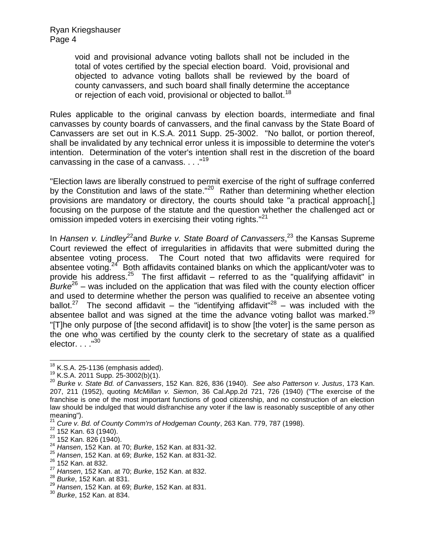Ryan Kriegshauser Page 4

> void and provisional advance voting ballots shall not be included in the total of votes certified by the special election board. Void, provisional and objected to advance voting ballots shall be reviewed by the board of county canvassers, and such board shall finally determine the acceptance or rejection of each void, provisional or objected to ballot.<sup>18</sup>

Rules applicable to the original canvass by election boards, intermediate and final canvasses by county boards of canvassers, and the final canvass by the State Board of Canvassers are set out in K.S.A. 2011 Supp. 25-3002. "No ballot, or portion thereof, shall be invalidated by any technical error unless it is impossible to determine the voter's intention. Determination of the voter's intention shall rest in the discretion of the board canvassing in the case of a canvass.  $\dots$ ."<sup>19</sup>

"Election laws are liberally construed to permit exercise of the right of suffrage conferred by the Constitution and laws of the state."<sup>20</sup> Rather than determining whether election provisions are mandatory or directory, the courts should take "a practical approach[,] focusing on the purpose of the statute and the question whether the challenged act or omission impeded voters in exercising their voting rights."<sup>21</sup>

In *Hansen v. Lindley<sup>22</sup>and Burke v. State Board of Canvassers*,<sup>23</sup> the Kansas Supreme Court reviewed the effect of irregularities in affidavits that were submitted during the absentee voting process. The Court noted that two affidavits were required for absentee voting.<sup>24</sup> Both affidavits contained blanks on which the applicant/voter was to provide his address.<sup>25</sup> The first affidavit – referred to as the "qualifying affidavit" in *Burke*<sup>26</sup> – was included on the application that was filed with the county election officer and used to determine whether the person was qualified to receive an absentee voting ballot.<sup>27</sup> The second affidavit – the "identifying affidavit"<sup>28</sup> – was included with the absentee ballot and was signed at the time the advance voting ballot was marked. $29$ "[T]he only purpose of [the second affidavit] is to show [the voter] is the same person as the one who was certified by the county clerk to the secretary of state as a qualified elector.  $. . .$ <sup>"30</sup>

 $\overline{\phantom{a}}$ 

 $18$  K.S.A. 25-1136 (emphasis added).

<sup>19</sup> K.S.A. 2011 Supp. 25-3002(b)(1).

<sup>20</sup> *Burke v. State Bd. of Canvassers*, 152 Kan. 826, 836 (1940). *See also Patterson v. Justus*, 173 Kan. 207, 211 (1952), quoting *McMillan v. Siemon*, 36 Cal.App.2d 721, 726 (1940) ("The exercise of the franchise is one of the most important functions of good citizenship, and no construction of an election law should be indulged that would disfranchise any voter if the law is reasonably susceptible of any other meaning").

<sup>21</sup> *Cure v. Bd. of County Comm'rs of Hodgeman County*, 263 Kan. 779, 787 (1998).

 $22$  152 Kan. 63 (1940).

<sup>&</sup>lt;sup>23</sup> 152 Kan. 826 (1940).

<sup>24</sup> *Hansen*, 152 Kan. at 70; *Burke*, 152 Kan. at 831-32.

<sup>25</sup> *Hansen*, 152 Kan. at 69; *Burke*, 152 Kan. at 831-32.

<sup>&</sup>lt;sup>26</sup> 152 Kan. at 832.

<sup>27</sup> *Hansen*, 152 Kan. at 70; *Burke*, 152 Kan. at 832.

<sup>28</sup> *Burke*, 152 Kan. at 831.

<sup>29</sup> *Hansen*, 152 Kan. at 69; *Burke*, 152 Kan. at 831.

<sup>30</sup> *Burke*, 152 Kan. at 834.